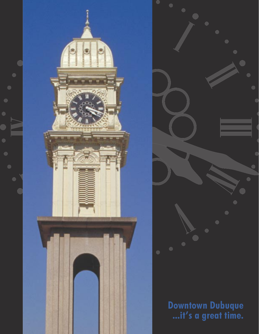



# **Downtown Dubuque ...it's a great time.**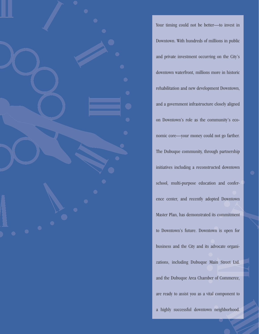

Your timing could not be better—to invest in Downtown. With hundreds of millions in public and private investment occurring on the City's downtown waterfront, millions more in historic rehabilitation and new development Downtown, and a government infrastructure closely aligned on Downtown's role as the community's economic core—your money could not go farther. The Dubuque community, through partnership initiatives including a reconstructed downtown school, multi-purpose education and conference center, and recently adopted Downtown Master Plan, has demonstrated its commitment to Downtown's future. Downtown is open for business and the City and its advocate organizations, including Dubuque Main Street Ltd. and the Dubuque Area Chamber of Commerce, are ready to assist you as a vital component to a highly successful downtown neighborhood.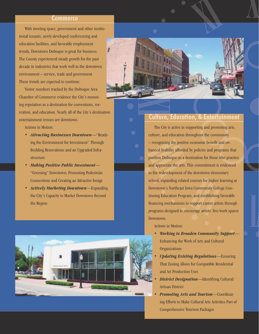#### **Commerce**

With meeting space, government and other institutional tenants, newly developed conferencing and education facilities, and favorable employment trends, Downtown Dubuque is great for business. The County experienced steady growth for the past decade in industries that work well in the downtown environment – service, trade and government. These trends are expected to continue.

Visitor numbers tracked by the Dubuque Area Chamber of Commerce evidence the City's mounting reputation as a destination for conventions, recreation, and education. Nearly all of the City's destination entertainment venues are downtown.

Actions in Motion:

- *Attracting Businesses Downtown*—"Readying the Environment for Investment" Through Building Renovations and an Upgraded Infrastructure
- *Making Positive Public Investment* "Greening" Downtown, Promoting Pedestrian Connections and Creating an Attractive Image
- *Actively Marketing Downtown*—Expanding the City's Capacity to Market Downtown Beyond the Region





### **Culture, Education, & Entertainment**

The City is active in supporting and promoting arts, culture, and education throughout the community – recognizing the positive economic benefit and enhanced livability afforded by policies and programs that position Dubuque as a destination for those who practice and appreciate the arts. This commitment is evidenced in the redevelopment of the downtown elementary school, expanding related courses for higher learning at Downtown's Northeast Iowa Community College Continuing Education Program, and establishing favorable financing mechanisms to support career artists through programs designed to encourage artists' live/work spaces Downtown.

Actions in Motion:

- *Working to Broaden Community Support* Enhancing the Work of Arts and Cultural **Organizations**
- *Updating Existing Regulations*—Ensuring That Zoning Allows for Compatible Residential and Art Production Uses
- *District Designation*—Identifying Cultural/ Artisan District
- *Promoting Arts and Tourism*—Coordinating Efforts to Make Cultural Arts Activities Part of Comprehensive Tourism Packages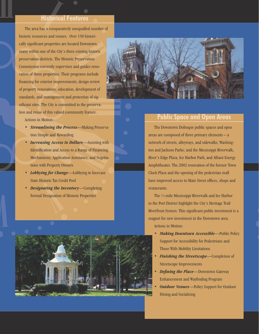## **Historical Features**

The area has a comparatively unequalled number of historic resources and venues. Over 150 historically significant properties are located Downtown, many within one of the City's three existing historic preservation districts. The Historic Preservation Commission currently supervises and guides renovation of these properties. Their programs include financing for exterior improvements, design review of property renovations, education, development of standards, and management and protection of significant sites. The City is committed to the preservation and reuse of this valued community feature.

Actions in Motion:

- *Streamlining the Process*—Making Preservation Simple and Rewarding
- *Increasing Access to Dollars*—Assisting with Identification and Access to a Range of Financing Mechanisms, Application Assistance, and Negotiations with Property Owners
- *Lobbying for Change*—Lobbying to Increase State Historic Tax Credit Pool
- *Designating the Inventory*—Completing Formal Designation of Historic Properties





## **Public Space and Open Areas**

The Downtown Dubuque public spaces and open areas are composed of three primary elements – a network of streets, alleyways, and sidewalks; Washington and Jackson Parks; and the Mississippi Riverwalk, River's Edge Plaza, Ice Harbor Park, and Alliant Energy Amphitheater. The 2002 renovation of the former Town Clock Plaza and the opening of the pedestrian mall have improved access to Main Street offices, shops and restaurants.

The 1⁄2-mile Mississippi Riverwalk and Ice Harbor in the Port District highlight the City's Heritage Trail Riverfront System. This significant public investment is a magnet for new investment in the Downtown area. Actions in Motion:

- *Making Downtown Accessible*—Public Policy Support for Accessibility for Pedestrians and Those With Mobility Limitations
- *Finishing the Streetscape*—Completion of Streetscape Improvements
- *Defining the Place—Downtown Gateway* Enhancement and Wayfinding Program
- **Outdoor Venues**—Policy Support for Outdoor Dining and Socializing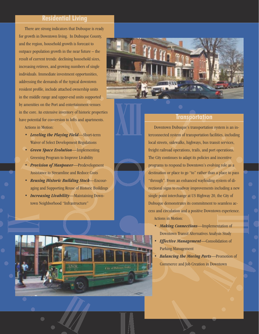## **Residential Living**

There are strong indicators that Dubuque is ready for growth in Downtown living. In Dubuque County, and the region, household growth is forecast to outpace population growth in the near future – the result of current trends: declining household sizes, increasing retirees, and growing numbers of single individuals. Immediate investment opportunities, addressing the demands of the typical downtown resident profile, include attached ownership units in the middle range and upper-end units supported by amenities on the Port and entertainment venues in the core. An extensive inventory of historic properties have potential for conversion to lofts and apartments. Actions in Motion:

- *Leveling the Playing Field*—Short-term Waiver of Select Development Regulations
- *Green Space Evolution*—Implementing Greening Program to Improve Livability
- *Provision of Manpower*—Predevelopment Assistance to Streamline and Reduce Costs
- *Reusing Historic Building Stock*—Encouraging and Supporting Reuse of Historic Buildings
- *Increasing Livability*—Maintaining Downtown Neighborhood "Infrastructure"

 $\bigcirc$ 

**City of History-1** 



### **Transportation**

Downtown Dubuque's transportation system is an interconnected system of transportation facilities, including local streets, sidewalks, highways, bus transit services, freight railroad operations, trails, and port operations. The City continues to adapt its policies and incentive programs to respond to Downtown's evolving role as a destination or place to go "to" rather than a place to pass "through". From an enhanced wayfinding system of directional signs to roadway improvements including a new single point interchange at US Highway 20, the City of Dubuque demonstrates its commitment to seamless access and circulation and a positive Downtown experience. Actions in Motion:

- *Making Connections*—Implementation of Downtown Transit Alternatives Analysis Study
- *Effective Management*—Consolidation of Parking Management
- *Balancing the Moving Parts*—Promotion of Commerce and Job Creation in Downtown